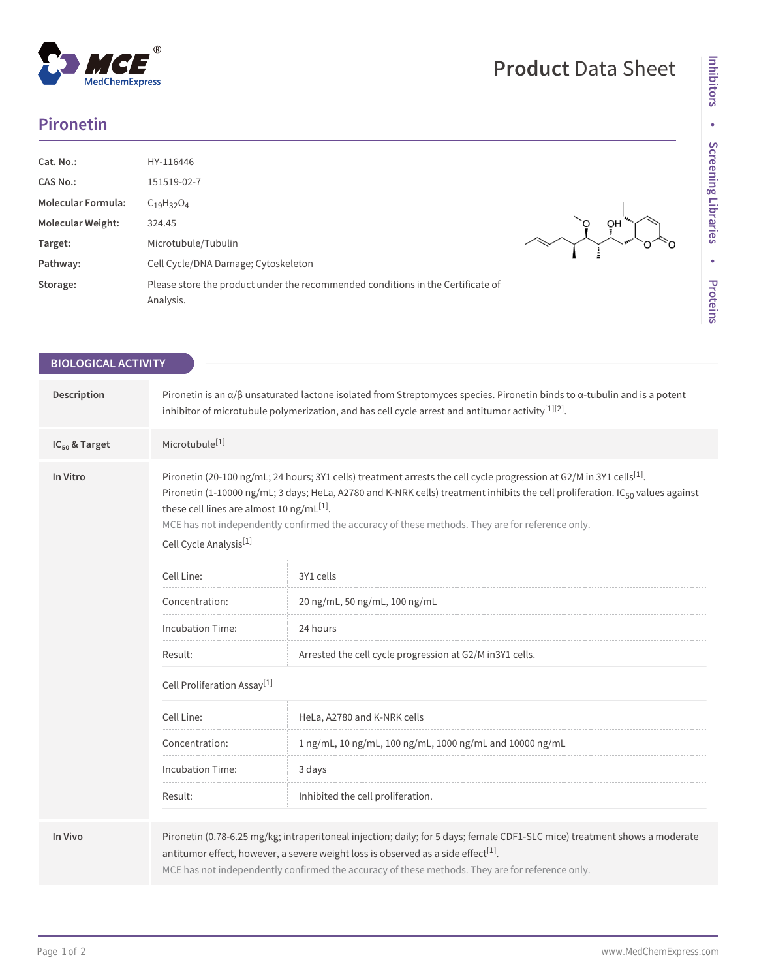## MedChemExpress

 $^\circledR$ 

## **Product** Data Sheet

## **Pironetin**

| Cat. No.:<br><b>CAS No.:</b><br><b>Molecular Formula:</b><br>Molecular Weight:<br>Target:<br>Pathway:<br>Storage: | HY-116446<br>151519-02-7<br>$C_{19}H_{32}O_4$<br>324.45<br>Microtubule/Tubulin<br>Cell Cycle/DNA Damage; Cytoskeleton<br>Please store the product under the recommended conditions in the Certificate of<br>Analysis. | QH |
|-------------------------------------------------------------------------------------------------------------------|-----------------------------------------------------------------------------------------------------------------------------------------------------------------------------------------------------------------------|----|
|-------------------------------------------------------------------------------------------------------------------|-----------------------------------------------------------------------------------------------------------------------------------------------------------------------------------------------------------------------|----|

| <b>BIOLOGICAL ACTIVITY</b> |                                                                                                                                                                                                                                                                                                                                                                                                                                                                        |                                                                                                                                                                                                                                                                                                                                |  |
|----------------------------|------------------------------------------------------------------------------------------------------------------------------------------------------------------------------------------------------------------------------------------------------------------------------------------------------------------------------------------------------------------------------------------------------------------------------------------------------------------------|--------------------------------------------------------------------------------------------------------------------------------------------------------------------------------------------------------------------------------------------------------------------------------------------------------------------------------|--|
|                            |                                                                                                                                                                                                                                                                                                                                                                                                                                                                        |                                                                                                                                                                                                                                                                                                                                |  |
| Description                |                                                                                                                                                                                                                                                                                                                                                                                                                                                                        | Pironetin is an $\alpha/\beta$ unsaturated lactone isolated from Streptomyces species. Pironetin binds to $\alpha$ -tubulin and is a potent<br>inhibitor of microtubule polymerization, and has cell cycle arrest and antitumor activity <sup>[1][2]</sup> .                                                                   |  |
| IC <sub>50</sub> & Target  | Microtubule <sup>[1]</sup>                                                                                                                                                                                                                                                                                                                                                                                                                                             |                                                                                                                                                                                                                                                                                                                                |  |
| In Vitro                   | Pironetin (20-100 ng/mL; 24 hours; 3Y1 cells) treatment arrests the cell cycle progression at G2/M in 3Y1 cells <sup>[1]</sup> .<br>Pironetin (1-10000 ng/mL; 3 days; HeLa, A2780 and K-NRK cells) treatment inhibits the cell proliferation. IC <sub>50</sub> values against<br>these cell lines are almost 10 ng/mL $[1]$ .<br>MCE has not independently confirmed the accuracy of these methods. They are for reference only.<br>Cell Cycle Analysis <sup>[1]</sup> |                                                                                                                                                                                                                                                                                                                                |  |
|                            | Cell Line:                                                                                                                                                                                                                                                                                                                                                                                                                                                             | 3Y1 cells                                                                                                                                                                                                                                                                                                                      |  |
|                            | Concentration:                                                                                                                                                                                                                                                                                                                                                                                                                                                         | 20 ng/mL, 50 ng/mL, 100 ng/mL                                                                                                                                                                                                                                                                                                  |  |
|                            | Incubation Time:                                                                                                                                                                                                                                                                                                                                                                                                                                                       | 24 hours                                                                                                                                                                                                                                                                                                                       |  |
|                            | Result:                                                                                                                                                                                                                                                                                                                                                                                                                                                                | Arrested the cell cycle progression at G2/M in3Y1 cells.                                                                                                                                                                                                                                                                       |  |
|                            | Cell Proliferation Assay <sup>[1]</sup>                                                                                                                                                                                                                                                                                                                                                                                                                                |                                                                                                                                                                                                                                                                                                                                |  |
|                            | Cell Line:                                                                                                                                                                                                                                                                                                                                                                                                                                                             | HeLa, A2780 and K-NRK cells                                                                                                                                                                                                                                                                                                    |  |
|                            | Concentration:                                                                                                                                                                                                                                                                                                                                                                                                                                                         | 1 ng/mL, 10 ng/mL, 100 ng/mL, 1000 ng/mL and 10000 ng/mL                                                                                                                                                                                                                                                                       |  |
|                            | <b>Incubation Time:</b>                                                                                                                                                                                                                                                                                                                                                                                                                                                | 3 days                                                                                                                                                                                                                                                                                                                         |  |
|                            | Result:                                                                                                                                                                                                                                                                                                                                                                                                                                                                | Inhibited the cell proliferation.                                                                                                                                                                                                                                                                                              |  |
| In Vivo                    |                                                                                                                                                                                                                                                                                                                                                                                                                                                                        | Pironetin (0.78-6.25 mg/kg; intraperitoneal injection; daily; for 5 days; female CDF1-SLC mice) treatment shows a moderate<br>antitumor effect, however, a severe weight loss is observed as a side effect <sup>[1]</sup> .<br>MCE has not independently confirmed the accuracy of these methods. They are for reference only. |  |